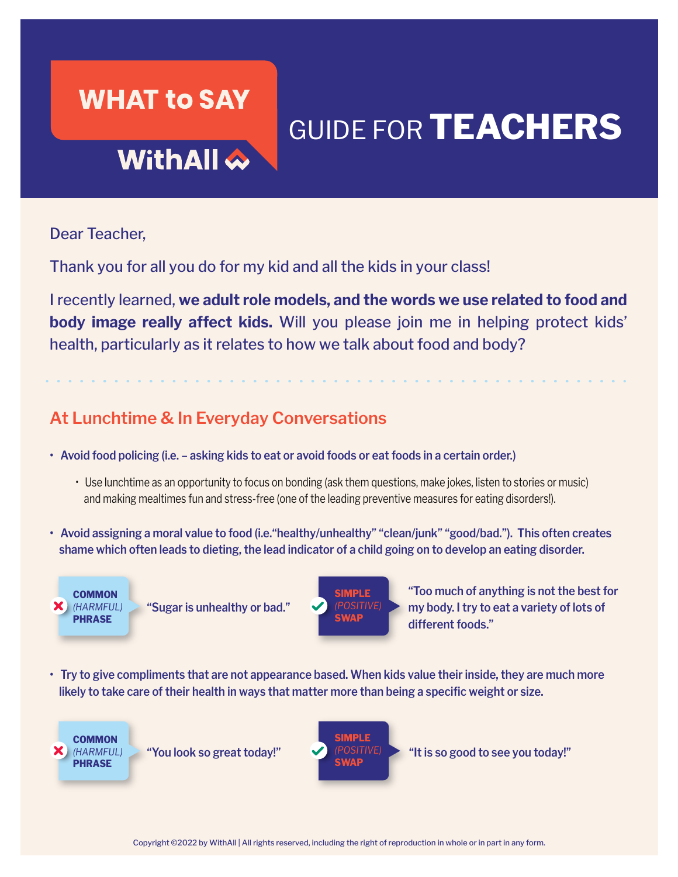### **WHAT to SAY**

# GUIDE FOR **TEACHERS**

## WithAll <

Dear Teacher,

Thank you for all you do for my kid and all the kids in your class!

I recently learned, **we adult role models, and the words we use related to food and body image really affect kids.** Will you please join me in helping protect kids' health, particularly as it relates to how we talk about food and body?

### **At Lunchtime & In Everyday Conversations**

- **Avoid food policing (i.e. asking kids to eat or avoid foods or eat foods in a certain order.)** 
	- Use lunchtime as an opportunity to focus on bonding (ask them questions, make jokes, listen to stories or music) and making mealtimes fun and stress-free (one of the leading preventive measures for eating disorders!).
- **Avoid assigning a moral value to food (i.e."healthy/unhealthy" "clean/junk" "good/bad."). This often creates shame which often leads to dieting, the lead indicator of a child going on to develop an eating disorder.**



**"Sugar is unhealthy or bad."**



**"Too much of anything is not the best for my body. I try to eat a variety of lots of different foods."** 

**• Try to give compliments that are not appearance based. When kids value their inside, they are much more likely to take care of their health in ways that matter more than being a specific weight or size.**